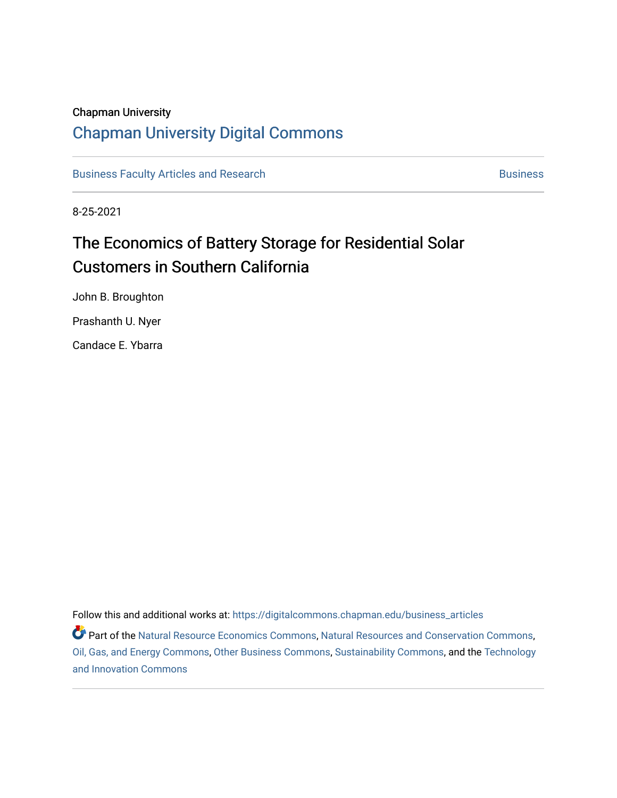#### Chapman University

## [Chapman University Digital Commons](https://digitalcommons.chapman.edu/)

[Business Faculty Articles and Research](https://digitalcommons.chapman.edu/business_articles) [Business](https://digitalcommons.chapman.edu/business) **Business** Business

8-25-2021

## The Economics of Battery Storage for Residential Solar Customers in Southern California

John B. Broughton Prashanth U. Nyer

Candace E. Ybarra

Follow this and additional works at: [https://digitalcommons.chapman.edu/business\\_articles](https://digitalcommons.chapman.edu/business_articles?utm_source=digitalcommons.chapman.edu%2Fbusiness_articles%2F129&utm_medium=PDF&utm_campaign=PDFCoverPages) 

Part of the [Natural Resource Economics Commons](http://network.bepress.com/hgg/discipline/169?utm_source=digitalcommons.chapman.edu%2Fbusiness_articles%2F129&utm_medium=PDF&utm_campaign=PDFCoverPages), [Natural Resources and Conservation Commons](http://network.bepress.com/hgg/discipline/168?utm_source=digitalcommons.chapman.edu%2Fbusiness_articles%2F129&utm_medium=PDF&utm_campaign=PDFCoverPages), [Oil, Gas, and Energy Commons,](http://network.bepress.com/hgg/discipline/171?utm_source=digitalcommons.chapman.edu%2Fbusiness_articles%2F129&utm_medium=PDF&utm_campaign=PDFCoverPages) [Other Business Commons](http://network.bepress.com/hgg/discipline/647?utm_source=digitalcommons.chapman.edu%2Fbusiness_articles%2F129&utm_medium=PDF&utm_campaign=PDFCoverPages), [Sustainability Commons,](http://network.bepress.com/hgg/discipline/1031?utm_source=digitalcommons.chapman.edu%2Fbusiness_articles%2F129&utm_medium=PDF&utm_campaign=PDFCoverPages) and the [Technology](http://network.bepress.com/hgg/discipline/644?utm_source=digitalcommons.chapman.edu%2Fbusiness_articles%2F129&utm_medium=PDF&utm_campaign=PDFCoverPages)  [and Innovation Commons](http://network.bepress.com/hgg/discipline/644?utm_source=digitalcommons.chapman.edu%2Fbusiness_articles%2F129&utm_medium=PDF&utm_campaign=PDFCoverPages)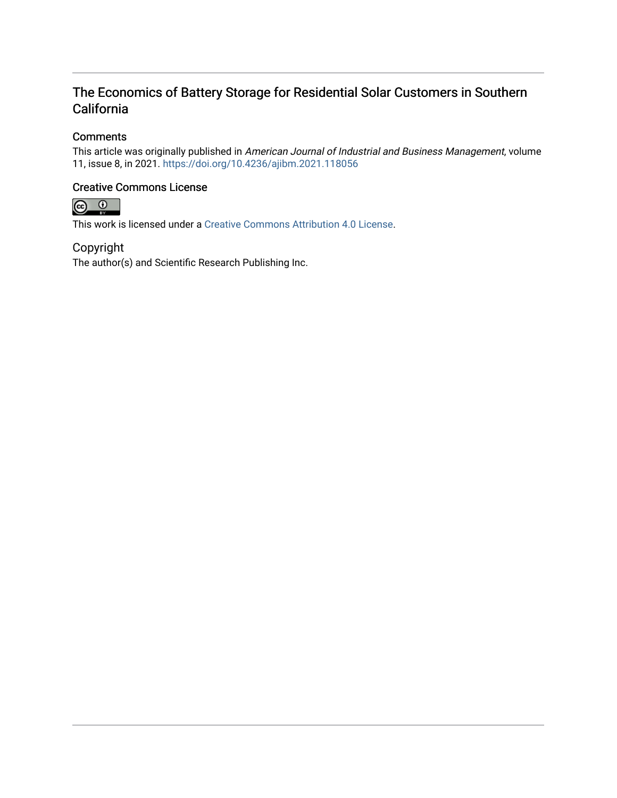### The Economics of Battery Storage for Residential Solar Customers in Southern California

#### **Comments**

This article was originally published in American Journal of Industrial and Business Management, volume 11, issue 8, in 2021. <https://doi.org/10.4236/ajibm.2021.118056>

#### Creative Commons License



This work is licensed under a [Creative Commons Attribution 4.0 License](https://creativecommons.org/licenses/by/4.0/).

#### Copyright

The author(s) and Scientific Research Publishing Inc.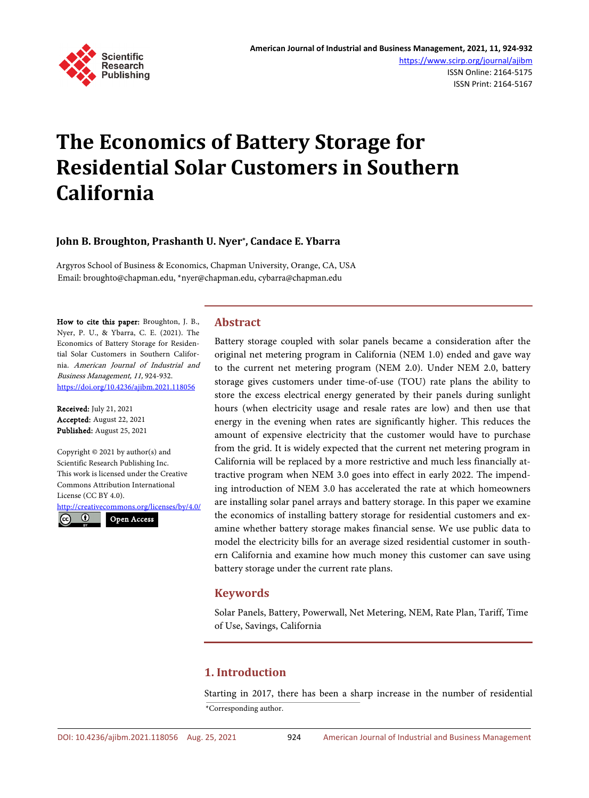

# **The Economics of Battery Storage for Residential Solar Customers in Southern California**

#### **John B. Broughton, Prashanth U. Nyer\*, Candace E. Ybarra**

Argyros School of Business & Economics, Chapman University, Orange, CA, USA Email: broughto@chapman.edu, \*nyer@chapman.edu, cybarra@chapman.edu

How to cite this paper: Broughton, J. B., Nyer, P. U., & Ybarra, C. E. (2021). The Economics of Battery Storage for Residential Solar Customers in Southern California. American Journal of Industrial and Business Management, 11, 924-932. <https://doi.org/10.4236/ajibm.2021.118056>

Received: July 21, 2021 Accepted: August 22, 2021 Published: August 25, 2021

Copyright © 2021 by author(s) and Scientific Research Publishing Inc. This work is licensed under the Creative Commons Attribution International License (CC BY 4.0).

<http://creativecommons.org/licenses/by/4.0/>  $\odot$ Open Access $\sqrt{cc}$ 

#### **Abstract**

Battery storage coupled with solar panels became a consideration after the original net metering program in California (NEM 1.0) ended and gave way to the current net metering program (NEM 2.0). Under NEM 2.0, battery storage gives customers under time-of-use (TOU) rate plans the ability to store the excess electrical energy generated by their panels during sunlight hours (when electricity usage and resale rates are low) and then use that energy in the evening when rates are significantly higher. This reduces the amount of expensive electricity that the customer would have to purchase from the grid. It is widely expected that the current net metering program in California will be replaced by a more restrictive and much less financially attractive program when NEM 3.0 goes into effect in early 2022. The impending introduction of NEM 3.0 has accelerated the rate at which homeowners are installing solar panel arrays and battery storage. In this paper we examine the economics of installing battery storage for residential customers and examine whether battery storage makes financial sense. We use public data to model the electricity bills for an average sized residential customer in southern California and examine how much money this customer can save using battery storage under the current rate plans.

#### **Keywords**

Solar Panels, Battery, Powerwall, Net Metering, NEM, Rate Plan, Tariff, Time of Use, Savings, California

#### **1. Introduction**

Starting in 2017, there has been a sharp increase in the number of residential \*Corresponding author.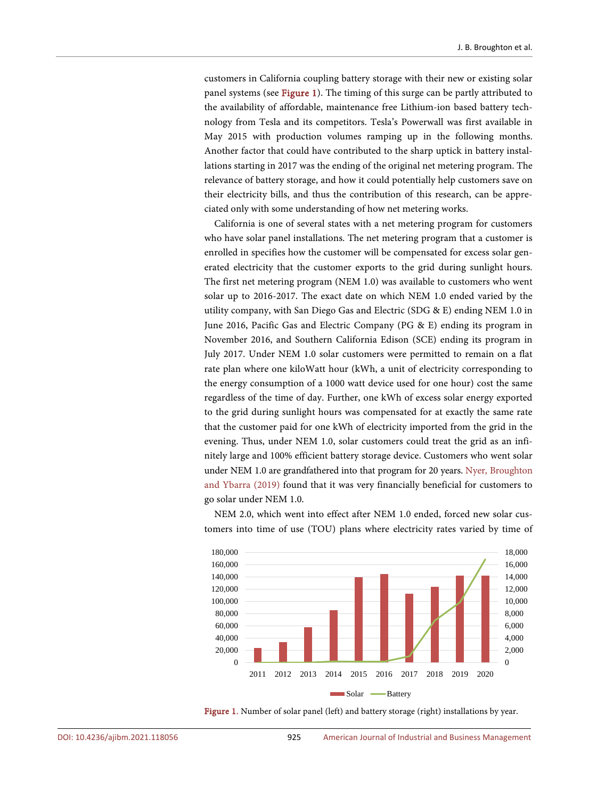customers in California coupling battery storage with their new or existing solar panel systems (se[e Figure 1\)](#page-3-0). The timing of this surge can be partly attributed to the availability of affordable, maintenance free Lithium-ion based battery technology from Tesla and its competitors. Tesla's Powerwall was first available in May 2015 with production volumes ramping up in the following months. Another factor that could have contributed to the sharp uptick in battery installations starting in 2017 was the ending of the original net metering program. The relevance of battery storage, and how it could potentially help customers save on their electricity bills, and thus the contribution of this research, can be appreciated only with some understanding of how net metering works.

California is one of several states with a net metering program for customers who have solar panel installations. The net metering program that a customer is enrolled in specifies how the customer will be compensated for excess solar generated electricity that the customer exports to the grid during sunlight hours. The first net metering program (NEM 1.0) was available to customers who went solar up to 2016-2017. The exact date on which NEM 1.0 ended varied by the utility company, with San Diego Gas and Electric (SDG & E) ending NEM 1.0 in June 2016, Pacific Gas and Electric Company (PG & E) ending its program in November 2016, and Southern California Edison (SCE) ending its program in July 2017. Under NEM 1.0 solar customers were permitted to remain on a flat rate plan where one kiloWatt hour (kWh, a unit of electricity corresponding to the energy consumption of a 1000 watt device used for one hour) cost the same regardless of the time of day. Further, one kWh of excess solar energy exported to the grid during sunlight hours was compensated for at exactly the same rate that the customer paid for one kWh of electricity imported from the grid in the evening. Thus, under NEM 1.0, solar customers could treat the grid as an infinitely large and 100% efficient battery storage device. Customers who went solar under NEM 1.0 are grandfathered into that program for 20 years. [Nyer, Broughton](#page-10-0)  [and Ybarra \(2019\)](#page-10-0) found that it was very financially beneficial for customers to go solar under NEM 1.0.

NEM 2.0, which went into effect after NEM 1.0 ended, forced new solar customers into time of use (TOU) plans where electricity rates varied by time of

<span id="page-3-0"></span>

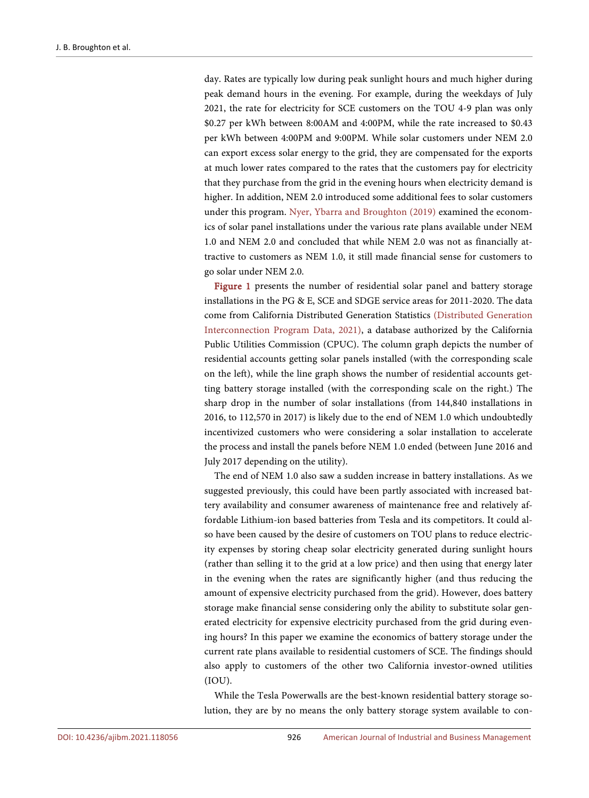day. Rates are typically low during peak sunlight hours and much higher during peak demand hours in the evening. For example, during the weekdays of July 2021, the rate for electricity for SCE customers on the TOU 4-9 plan was only \$0.27 per kWh between 8:00AM and 4:00PM, while the rate increased to \$0.43 per kWh between 4:00PM and 9:00PM. While solar customers under NEM 2.0 can export excess solar energy to the grid, they are compensated for the exports at much lower rates compared to the rates that the customers pay for electricity that they purchase from the grid in the evening hours when electricity demand is higher. In addition, NEM 2.0 introduced some additional fees to solar customers under this program. [Nyer, Ybarra and Broughton \(2019\)](#page-10-1) examined the economics of solar panel installations under the various rate plans available under NEM 1.0 and NEM 2.0 and concluded that while NEM 2.0 was not as financially attractive to customers as NEM 1.0, it still made financial sense for customers to go solar under NEM 2.0.

[Figure 1](#page-3-0) presents the number of residential solar panel and battery storage installations in the PG & E, SCE and SDGE service areas for 2011-2020. The data come from California Distributed Generation Statistics [\(Distributed Generation](#page-10-2)  [Interconnection Program Data, 2021\),](#page-10-2) a database authorized by the California Public Utilities Commission (CPUC). The column graph depicts the number of residential accounts getting solar panels installed (with the corresponding scale on the left), while the line graph shows the number of residential accounts getting battery storage installed (with the corresponding scale on the right.) The sharp drop in the number of solar installations (from 144,840 installations in 2016, to 112,570 in 2017) is likely due to the end of NEM 1.0 which undoubtedly incentivized customers who were considering a solar installation to accelerate the process and install the panels before NEM 1.0 ended (between June 2016 and July 2017 depending on the utility).

The end of NEM 1.0 also saw a sudden increase in battery installations. As we suggested previously, this could have been partly associated with increased battery availability and consumer awareness of maintenance free and relatively affordable Lithium-ion based batteries from Tesla and its competitors. It could also have been caused by the desire of customers on TOU plans to reduce electricity expenses by storing cheap solar electricity generated during sunlight hours (rather than selling it to the grid at a low price) and then using that energy later in the evening when the rates are significantly higher (and thus reducing the amount of expensive electricity purchased from the grid). However, does battery storage make financial sense considering only the ability to substitute solar generated electricity for expensive electricity purchased from the grid during evening hours? In this paper we examine the economics of battery storage under the current rate plans available to residential customers of SCE. The findings should also apply to customers of the other two California investor-owned utilities (IOU).

While the Tesla Powerwalls are the best-known residential battery storage solution, they are by no means the only battery storage system available to con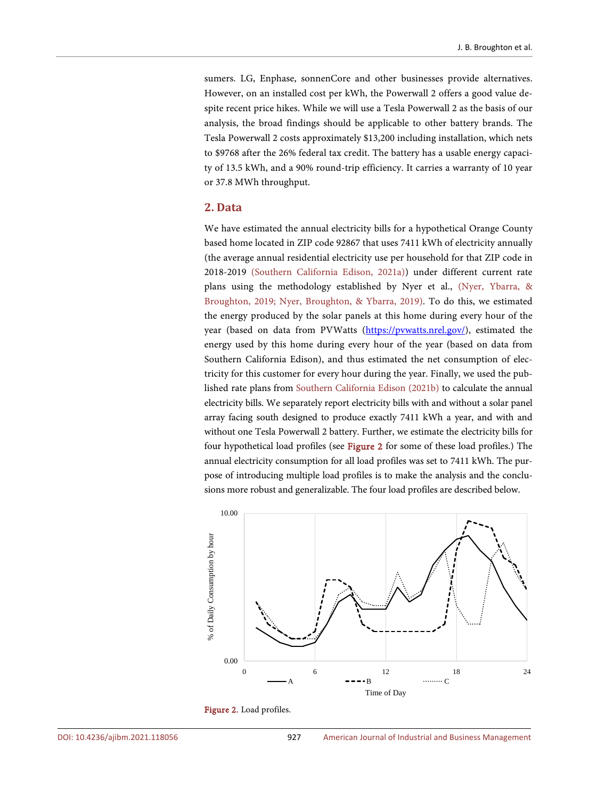sumers. LG, Enphase, sonnenCore and other businesses provide alternatives. However, on an installed cost per kWh, the Powerwall 2 offers a good value despite recent price hikes. While we will use a Tesla Powerwall 2 as the basis of our analysis, the broad findings should be applicable to other battery brands. The Tesla Powerwall 2 costs approximately \$13,200 including installation, which nets to \$9768 after the 26% federal tax credit. The battery has a usable energy capacity of 13.5 kWh, and a 90% round-trip efficiency. It carries a warranty of 10 year or 37.8 MWh throughput.

#### **2. Data**

We have estimated the annual electricity bills for a hypothetical Orange County based home located in ZIP code 92867 that uses 7411 kWh of electricity annually (the average annual residential electricity use per household for that ZIP code in 2018-2019 [\(Southern California Edison, 2021a\)\)](#page-10-3) under different current rate plans using the methodology established by Nyer et al., [\(Nyer, Ybarra,](#page-10-1) & [Broughton, 2019;](#page-10-1) [Nyer, Broughton,](#page-10-0) & Ybarra, 2019). To do this, we estimated the energy produced by the solar panels at this home during every hour of the year (based on data from PVWatts (https://pywatts.nrel.gov/), estimated the energy used by this home during every hour of the year (based on data from Southern California Edison), and thus estimated the net consumption of electricity for this customer for every hour during the year. Finally, we used the published rate plans from [Southern California Edison \(2021b\)](#page-10-4) to calculate the annual electricity bills. We separately report electricity bills with and without a solar panel array facing south designed to produce exactly 7411 kWh a year, and with and without one Tesla Powerwall 2 battery. Further, we estimate the electricity bills for four hypothetical load profiles (see [Figure 2](#page-5-0) for some of these load profiles.) The annual electricity consumption for all load profiles was set to 7411 kWh. The purpose of introducing multiple load profiles is to make the analysis and the conclusions more robust and generalizable. The four load profiles are described below.

<span id="page-5-0"></span>

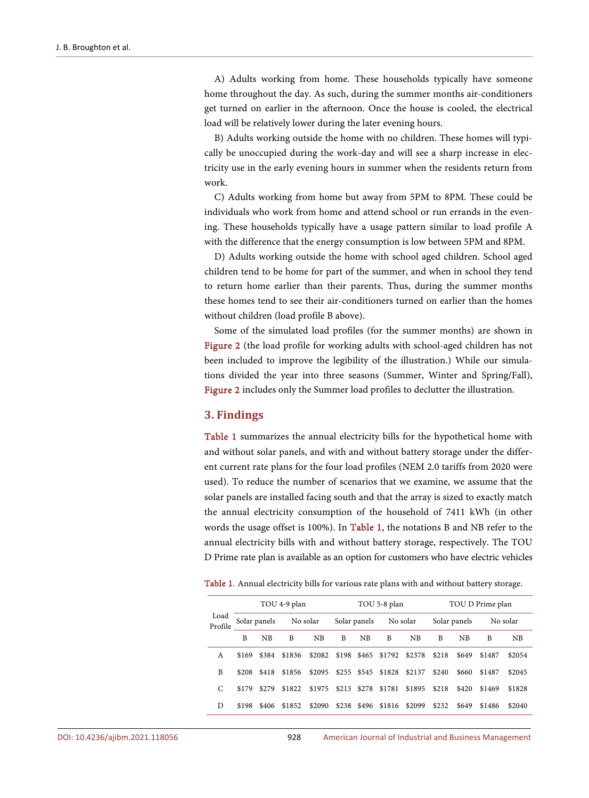A) Adults working from home. These households typically have someone home throughout the day. As such, during the summer months air-conditioners get turned on earlier in the afternoon. Once the house is cooled, the electrical load will be relatively lower during the later evening hours.

B) Adults working outside the home with no children. These homes will typically be unoccupied during the work-day and will see a sharp increase in electricity use in the early evening hours in summer when the residents return from work.

C) Adults working from home but away from 5PM to 8PM. These could be individuals who work from home and attend school or run errands in the evening. These households typically have a usage pattern similar to load profile A with the difference that the energy consumption is low between 5PM and 8PM.

D) Adults working outside the home with school aged children. School aged children tend to be home for part of the summer, and when in school they tend to return home earlier than their parents. Thus, during the summer months these homes tend to see their air-conditioners turned on earlier than the homes without children (load profile B above).

Some of the simulated load profiles (for the summer months) are shown in [Figure 2](#page-5-0) (the load profile for working adults with school-aged children has not been included to improve the legibility of the illustration.) While our simulations divided the year into three seasons (Summer, Winter and Spring/Fall), [Figure 2](#page-5-0) includes only the Summer load profiles to declutter the illustration.

#### **3. Findings**

[Table 1](#page-6-0) summarizes the annual electricity bills for the hypothetical home with and without solar panels, and with and without battery storage under the different current rate plans for the four load profiles (NEM 2.0 tariffs from 2020 were used). To reduce the number of scenarios that we examine, we assume that the solar panels are installed facing south and that the array is sized to exactly match the annual electricity consumption of the household of 7411 kWh (in other words the usage offset is 100%). In [Table 1,](#page-6-0) the notations B and NB refer to the annual electricity bills with and without battery storage, respectively. The TOU D Prime rate plan is available as an option for customers who have electric vehicles

<span id="page-6-0"></span>

|  |  |  |  |  |  |  |  |  |  |  |  |  |  |  | Table 1. Annual electricity bills for various rate plans with and without battery storage. |
|--|--|--|--|--|--|--|--|--|--|--|--|--|--|--|--------------------------------------------------------------------------------------------|
|--|--|--|--|--|--|--|--|--|--|--|--|--|--|--|--------------------------------------------------------------------------------------------|

| Load<br>Profile |                       |           | TOU 4-9 plan |           | TOU 5-8 plan |    |                                  |    | TOU D Prime plan |       |          |        |
|-----------------|-----------------------|-----------|--------------|-----------|--------------|----|----------------------------------|----|------------------|-------|----------|--------|
|                 | Solar panels No solar |           |              |           | Solar panels |    | No solar                         |    | Solar panels     |       | No solar |        |
|                 | B                     | <b>NB</b> | B            | <b>NB</b> | B            | NB | B                                | NB | R                | NB    | B        | NB     |
| A               | \$169                 |           | \$384 \$1836 |           |              |    | \$2082 \$198 \$465 \$1792 \$2378 |    | \$218            | \$649 | \$1487   | \$2054 |
| B               | \$208                 |           | \$418 \$1856 | \$2095    |              |    | \$255 \$545 \$1828 \$2137        |    | \$240            | \$660 | \$1487   | \$2045 |
| C               | \$179                 | \$279     | \$1822       | \$1975    |              |    | \$213 \$278 \$1781 \$1895        |    | \$218            | \$420 | \$1469   | \$1828 |
| D               | \$198                 | \$406     | \$1852       | \$2090    |              |    | \$238 \$496 \$1816 \$2099        |    | \$232            | \$649 | \$1486   | \$2040 |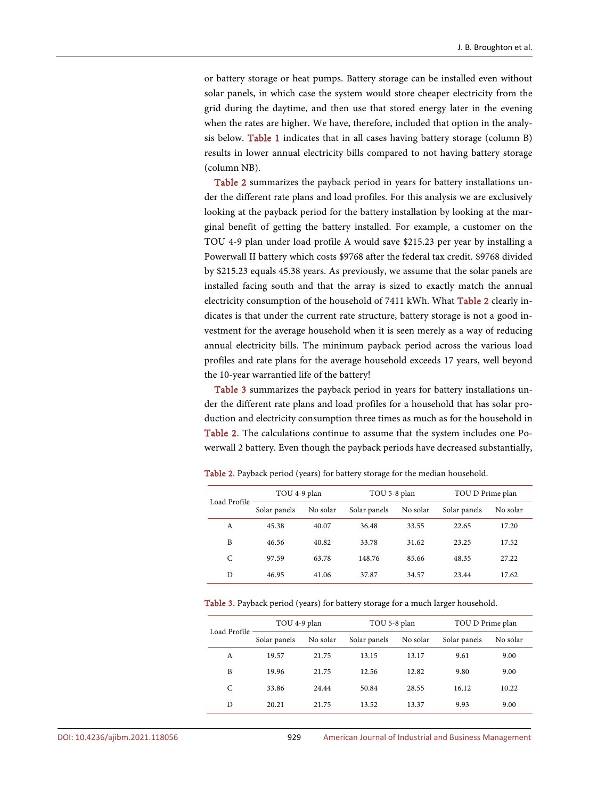or battery storage or heat pumps. Battery storage can be installed even without solar panels, in which case the system would store cheaper electricity from the grid during the daytime, and then use that stored energy later in the evening when the rates are higher. We have, therefore, included that option in the analysis below. [Table 1](#page-6-0) indicates that in all cases having battery storage (column B) results in lower annual electricity bills compared to not having battery storage (column NB).

[Table 2](#page-7-0) summarizes the payback period in years for battery installations under the different rate plans and load profiles. For this analysis we are exclusively looking at the payback period for the battery installation by looking at the marginal benefit of getting the battery installed. For example, a customer on the TOU 4-9 plan under load profile A would save \$215.23 per year by installing a Powerwall II battery which costs \$9768 after the federal tax credit. \$9768 divided by \$215.23 equals 45.38 years. As previously, we assume that the solar panels are installed facing south and that the array is sized to exactly match the annual electricity consumption of the household of 7411 kWh. What [Table 2](#page-7-0) clearly indicates is that under the current rate structure, battery storage is not a good investment for the average household when it is seen merely as a way of reducing annual electricity bills. The minimum payback period across the various load profiles and rate plans for the average household exceeds 17 years, well beyond the 10-year warrantied life of the battery!

[Table 3](#page-7-1) summarizes the payback period in years for battery installations under the different rate plans and load profiles for a household that has solar production and electricity consumption three times as much as for the household in [Table 2.](#page-7-0) The calculations continue to assume that the system includes one Powerwall 2 battery. Even though the payback periods have decreased substantially,

| Load Profile | TOU 4-9 plan |          | TOU 5-8 plan |          | TOU D Prime plan |          |  |
|--------------|--------------|----------|--------------|----------|------------------|----------|--|
|              | Solar panels | No solar | Solar panels | No solar | Solar panels     | No solar |  |
| A            | 45.38        | 40.07    | 36.48        | 33.55    | 22.65            | 17.20    |  |
| B            | 46.56        | 40.82    | 33.78        | 31.62    | 23.25            | 17.52    |  |
| C            | 97.59        | 63.78    | 148.76       | 85.66    | 48.35            | 27.22    |  |
| D            | 46.95        | 41.06    | 37.87        | 34.57    | 23.44            | 17.62    |  |

<span id="page-7-0"></span>Table 2. Payback period (years) for battery storage for the median household.

<span id="page-7-1"></span>Table 3. Payback period (years) for battery storage for a much larger household.

| Load Profile | TOU 4-9 plan |          | TOU 5-8 plan |          | TOU D Prime plan |          |  |
|--------------|--------------|----------|--------------|----------|------------------|----------|--|
|              | Solar panels | No solar | Solar panels | No solar | Solar panels     | No solar |  |
| A            | 19.57        | 21.75    | 13.15        | 13.17    | 9.61             | 9.00     |  |
| B            | 19.96        | 21.75    | 12.56        | 12.82    | 9.80             | 9.00     |  |
| C            | 33.86        | 24.44    | 50.84        | 28.55    | 16.12            | 10.22    |  |
| D            | 20.21        | 21.75    | 13.52        | 13.37    | 9.93             | 9.00     |  |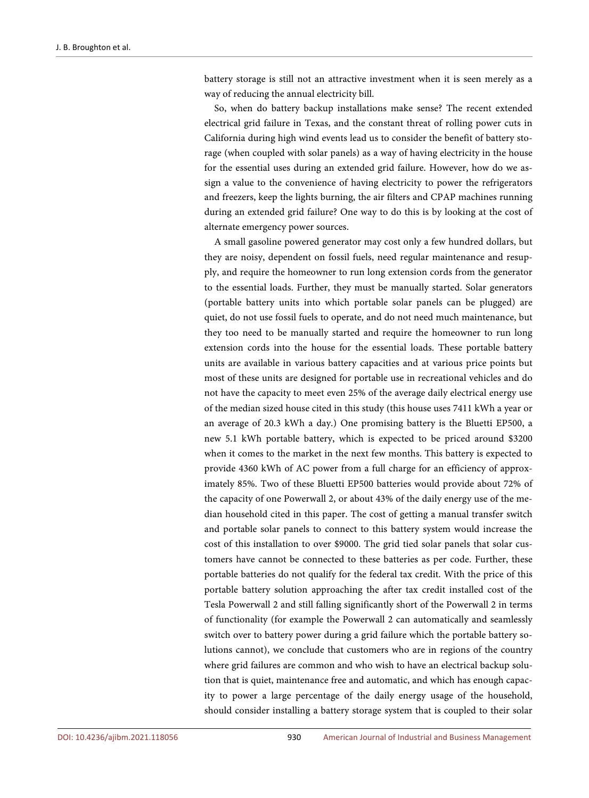battery storage is still not an attractive investment when it is seen merely as a way of reducing the annual electricity bill.

So, when do battery backup installations make sense? The recent extended electrical grid failure in Texas, and the constant threat of rolling power cuts in California during high wind events lead us to consider the benefit of battery storage (when coupled with solar panels) as a way of having electricity in the house for the essential uses during an extended grid failure. However, how do we assign a value to the convenience of having electricity to power the refrigerators and freezers, keep the lights burning, the air filters and CPAP machines running during an extended grid failure? One way to do this is by looking at the cost of alternate emergency power sources.

A small gasoline powered generator may cost only a few hundred dollars, but they are noisy, dependent on fossil fuels, need regular maintenance and resupply, and require the homeowner to run long extension cords from the generator to the essential loads. Further, they must be manually started. Solar generators (portable battery units into which portable solar panels can be plugged) are quiet, do not use fossil fuels to operate, and do not need much maintenance, but they too need to be manually started and require the homeowner to run long extension cords into the house for the essential loads. These portable battery units are available in various battery capacities and at various price points but most of these units are designed for portable use in recreational vehicles and do not have the capacity to meet even 25% of the average daily electrical energy use of the median sized house cited in this study (this house uses 7411 kWh a year or an average of 20.3 kWh a day.) One promising battery is the Bluetti EP500, a new 5.1 kWh portable battery, which is expected to be priced around \$3200 when it comes to the market in the next few months. This battery is expected to provide 4360 kWh of AC power from a full charge for an efficiency of approximately 85%. Two of these Bluetti EP500 batteries would provide about 72% of the capacity of one Powerwall 2, or about 43% of the daily energy use of the median household cited in this paper. The cost of getting a manual transfer switch and portable solar panels to connect to this battery system would increase the cost of this installation to over \$9000. The grid tied solar panels that solar customers have cannot be connected to these batteries as per code. Further, these portable batteries do not qualify for the federal tax credit. With the price of this portable battery solution approaching the after tax credit installed cost of the Tesla Powerwall 2 and still falling significantly short of the Powerwall 2 in terms of functionality (for example the Powerwall 2 can automatically and seamlessly switch over to battery power during a grid failure which the portable battery solutions cannot), we conclude that customers who are in regions of the country where grid failures are common and who wish to have an electrical backup solution that is quiet, maintenance free and automatic, and which has enough capacity to power a large percentage of the daily energy usage of the household, should consider installing a battery storage system that is coupled to their solar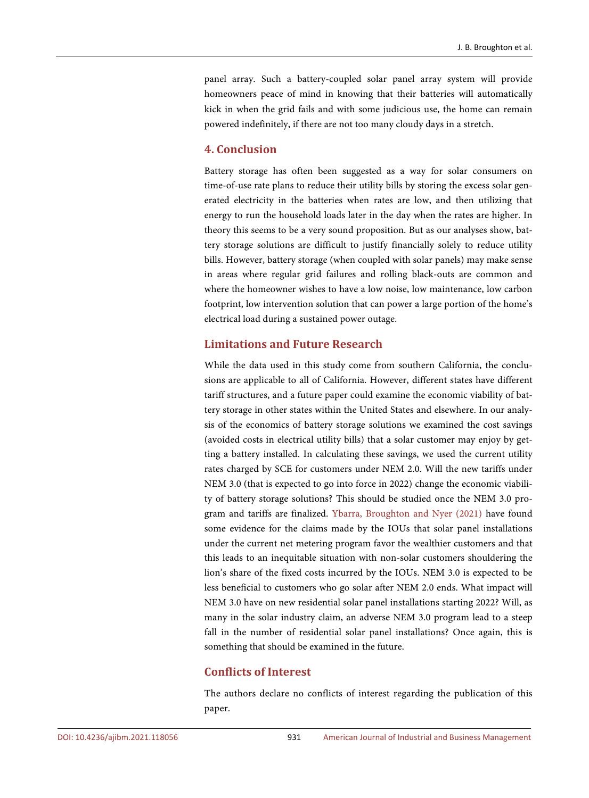panel array. Such a battery-coupled solar panel array system will provide homeowners peace of mind in knowing that their batteries will automatically kick in when the grid fails and with some judicious use, the home can remain powered indefinitely, if there are not too many cloudy days in a stretch.

#### **4. Conclusion**

Battery storage has often been suggested as a way for solar consumers on time-of-use rate plans to reduce their utility bills by storing the excess solar generated electricity in the batteries when rates are low, and then utilizing that energy to run the household loads later in the day when the rates are higher. In theory this seems to be a very sound proposition. But as our analyses show, battery storage solutions are difficult to justify financially solely to reduce utility bills. However, battery storage (when coupled with solar panels) may make sense in areas where regular grid failures and rolling black-outs are common and where the homeowner wishes to have a low noise, low maintenance, low carbon footprint, low intervention solution that can power a large portion of the home's electrical load during a sustained power outage.

#### **Limitations and Future Research**

While the data used in this study come from southern California, the conclusions are applicable to all of California. However, different states have different tariff structures, and a future paper could examine the economic viability of battery storage in other states within the United States and elsewhere. In our analysis of the economics of battery storage solutions we examined the cost savings (avoided costs in electrical utility bills) that a solar customer may enjoy by getting a battery installed. In calculating these savings, we used the current utility rates charged by SCE for customers under NEM 2.0. Will the new tariffs under NEM 3.0 (that is expected to go into force in 2022) change the economic viability of battery storage solutions? This should be studied once the NEM 3.0 program and tariffs are finalized. [Ybarra, Broughton and Nyer](#page-10-5) (2021) have found some evidence for the claims made by the IOUs that solar panel installations under the current net metering program favor the wealthier customers and that this leads to an inequitable situation with non-solar customers shouldering the lion's share of the fixed costs incurred by the IOUs. NEM 3.0 is expected to be less beneficial to customers who go solar after NEM 2.0 ends. What impact will NEM 3.0 have on new residential solar panel installations starting 2022? Will, as many in the solar industry claim, an adverse NEM 3.0 program lead to a steep fall in the number of residential solar panel installations? Once again, this is something that should be examined in the future.

#### **Conflicts of Interest**

The authors declare no conflicts of interest regarding the publication of this paper.